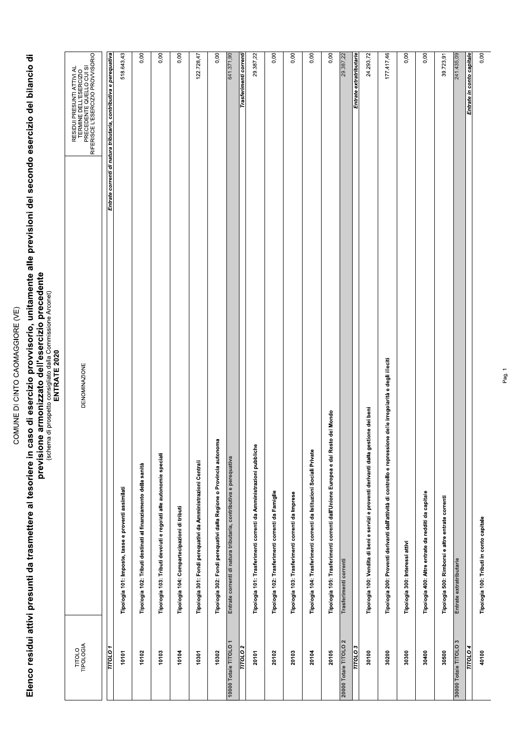### COMUNE DI CINTO CAOMAGGIORE (VE)

# Elenco residui attivi presunti da trasmettere al tesoriere in caso di esercizio provvisorio, unitamente alle previsioni del secondo esercizio del bilancio di<br>previsione armonizzato precedente a conte dell'esercizio preced

|                             | [USID_Discover]<br>ENTRATE 2020<br>こうこう<br>J                                                                   |                                                                                                                       |
|-----------------------------|----------------------------------------------------------------------------------------------------------------|-----------------------------------------------------------------------------------------------------------------------|
| TITOLO<br>TIPOLOGIA         | <b>DENOMINAZIONE</b>                                                                                           | RESIDUI PRESUNTI ATTIVI AL<br>TERMINE DELL'ESERCIZIO<br>PRECEDENTE QUELLO CUI SI<br>RIFERISCE L'ESERCIZIO PROVVISORIO |
| TITOLO <sub>1</sub>         |                                                                                                                | Entrate correnti di natura tributaria, contributiva e perequativa                                                     |
| 10101                       | Tipologia 101: Imposte, tasse e proventi assimilati                                                            | 518.643,43                                                                                                            |
| 10102                       | Tipologia 102: Tributi destinati al finanziamento della sanità                                                 | 0,00                                                                                                                  |
| 10103                       | Tipologia 103: Tributi devoluti e regolati alle autonomie speciali                                             | 0,00                                                                                                                  |
| 10104                       | Tipologia 104: Compartecipazioni di tributi                                                                    | 0,00                                                                                                                  |
| 10301                       | Tipologia 301: Fondi perequativi da Amministrazioni Centrali                                                   | 122.728,47                                                                                                            |
| 10302                       | Tipologia 302: Fondi perequativi dalla Regione o Provincia autonoma                                            | 0,00                                                                                                                  |
| 10000 Totale TITOLO 1       | Entrate correnti di natura tributaria, contributiva e perequativa                                              | 641.371,90                                                                                                            |
| $\overline{110102}$         |                                                                                                                | Trasferimenti correnti                                                                                                |
| 20101                       | Tipologia 101: Trasferimenti correnti da Amministrazioni pubbliche                                             | 29.387,22                                                                                                             |
| 20102                       | Tipologia 102: Trasferimenti correnti da Famiglie                                                              | 0,00                                                                                                                  |
| 20103                       | Tipologia 103: Trasferimenti correnti da Imprese                                                               | 0,00                                                                                                                  |
| 20104                       | Tipologia 104: Trasferimenti correnti da Istituzioni Sociali Private                                           | 0,00                                                                                                                  |
| 20105                       | Tipologia 105: Trasferimenti correnti dall'Unione Europea e dal Resto del Mondo                                | 0,00                                                                                                                  |
| 20000 Totale TITOLO 2       | Trasferimenti correnti                                                                                         | 29.387,22                                                                                                             |
| $\frac{20000}{\frac{1}{2}}$ |                                                                                                                | Entrate extratributarie                                                                                               |
| 30100                       | Tipologia 100: Vendita di beni e servizi e proventi derivanti dalla gestione dei beni                          | 24.293,72                                                                                                             |
| 30200                       | Tipologia 200: Proventi derivanti dall'attività di controllo e repressione delle irregolarità e degli illeciti | 177.417,46                                                                                                            |
| 30300                       | Tipologia 300: Interessi attivi                                                                                | 0,00                                                                                                                  |
| 30400                       | Tipologia 400: Altre entrate da redditi da capitale                                                            | 0,00                                                                                                                  |
| 30500                       | Tipologia 500: Rimborsi e altre entrate correnti                                                               | 39.723,91                                                                                                             |
| 30000 Totale TITOLO 3       | Entrate extratributarie                                                                                        | 241.435,09                                                                                                            |
| $\frac{1}{1170104}$         |                                                                                                                | Entrate in conto capitale                                                                                             |
| 40100                       | Tipologia 100: Tributi in conto capitale                                                                       | 0,00                                                                                                                  |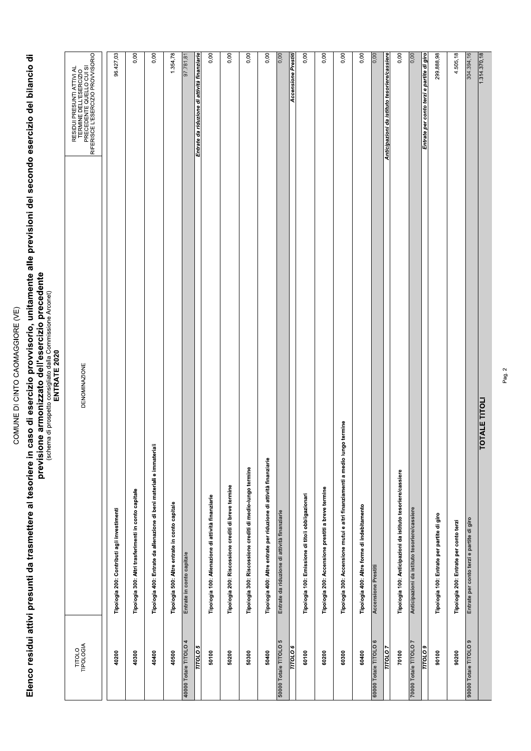# Elenco residui attivi presunti da trasmettere al tesoriere in caso di esercizio provvisorio, unitamente alle previsioni del secondo esercizio del bilancio di<br>previsione armonizzato precedente armonizzato dell'esercizio pre

|                       | UIIIU, Munice Alustania<br>ENTRATE 2020<br>⋾<br>Considirato<br>Í<br>phobhain<br>Diana diana<br>ミの                                        |
|-----------------------|------------------------------------------------------------------------------------------------------------------------------------------|
| TITOLO<br>TIPOLOGIA   | RESIDUI PRESUNTI ATTIVI AL<br>TERMINE DELL'ESERCIZIO<br>PRESIDE L'ESERCIZIO<br>RIFERISCE L'ESERCIZIO PROVVISORIO<br><b>DENOMINAZIONE</b> |
| 40200                 | 96.427,03<br>Tipologia 200: Contributi agli investimenti                                                                                 |
| 40300                 | 0,00<br>Tipologia 300: Altri trasferimenti in conto capitale                                                                             |
| 40400                 | 0,00<br>Tipologia 400: Entrate da alienazione di beni materiali e immateriali                                                            |
| 40500                 | 1.354,78<br>Tipologia 500: Altre entrate in conto capitale                                                                               |
| 40000 Totale TITOLO 4 | 97.781,81<br>Entrate in conto capitale                                                                                                   |
| $\frac{20,000}{\pi}$  | attività finanziarie<br>Entrate da riduzione di                                                                                          |
| 50100                 | 0,00<br>Tipologia 100: Alienazione di attività finanziarie                                                                               |
| 50200                 | 0,00<br>Tipologia 200: Riscossione crediti di breve termine                                                                              |
| 50300                 | 0,00<br>Tipologia 300: Riscossione crediti di medio-lungo termine                                                                        |
| 50400                 | 0,00<br>Tipologia 400: Altre entrate per riduzione di attività finanziarie                                                               |
| 50000 Totale TITOLO 5 | $\frac{1}{0.00}$<br>Entrate da riduzione di attività finanziarie                                                                         |
| <b>TITOLO</b>         | <b>Accensione Prestit</b>                                                                                                                |
| 60100                 | 0,00<br>Tipologia 100: Emissione di titoli obbligazionari                                                                                |
| 60200                 | 0,00<br>Tipologia 200: Accensione prestiti a breve termine                                                                               |
| 60300                 | 0,00<br>Tipologia 300: Accensione mutui e altri finanziamenti a medio lungo termine                                                      |
| 60400                 | 0,00<br>Tipologia 400: Altre forme di indebitamento                                                                                      |
| 60000 Totale TITOLO 6 | 0,00<br><b>Accensione Prestiti</b>                                                                                                       |
| $\overline{110107}$   | Anticipazioni da istituto tesoriere/cassiere                                                                                             |
| 70100                 | 0,00<br>Tipologia 100: Anticipazioni da istituto tesoriere/cassiere                                                                      |
| 70000 Totale TITOLO 7 | 0,00<br>Anticipazioni da istituto tesoriere/cassiere                                                                                     |
| $\frac{60}{100}$      | Entrate per conto terzi e partite di giro                                                                                                |
| 90100                 | 299.888,98<br>Tipologia 100: Entrate per partite di giro                                                                                 |
| 90200                 | 4.505,18<br>Tipologia 200: Entrate per conto terzi                                                                                       |
| 90000 Totale TITOLO 9 | 304.394,16<br>Entrate per conto terzi e partite di giro                                                                                  |
|                       | 1.314.370,18<br><b>TOTALE TITOLI</b>                                                                                                     |